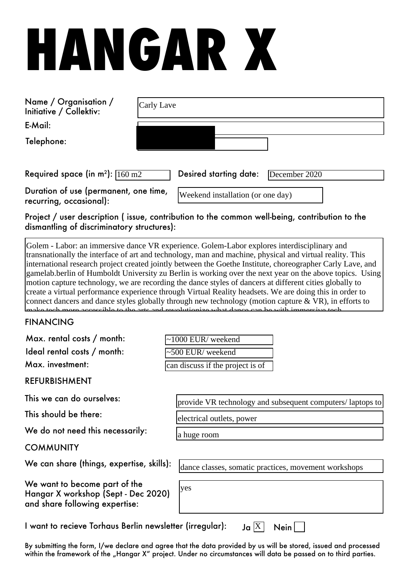# **HANGAR X**

| Name / Organisation /<br>Initiative / Collektiv:                 | Carly Lave |  |                                   |               |  |
|------------------------------------------------------------------|------------|--|-----------------------------------|---------------|--|
| E-Mail:                                                          |            |  |                                   |               |  |
| Telephone:                                                       |            |  |                                   |               |  |
| Required space (in $m^2$ ): $\sqrt{160 m^2}$                     |            |  | Desired starting date:            | December 2020 |  |
| Duration of use (permanent, one time,<br>recurring, occasional): |            |  | Weekend installation (or one day) |               |  |

Project / user description ( issue, contribution to the common well-being, contribution to the dismantling of discriminatory structures):

Golem - Labor: an immersive dance VR experience. Golem-Labor explores interdisciplinary and transnationally the interface of art and technology, man and machine, physical and virtual reality. This international research project created jointly between the Goethe Institute, choreographer Carly Lave, and gamelab.berlin of Humboldt University zu Berlin is working over the next year on the above topics. Using motion capture technology, we are recording the dance styles of dancers at different cities globally to create a virtual performance experience through Virtual Reality headsets. We are doing this in order to connect dancers and dance styles globally through new technology (motion capture  $\&$  VR), in efforts to make tech more accessible to the arts and revolutionize what dance can be with immersive tech.

#### FINANCING  $\mathcal{F}_{\mathcal{A}}$  , we would install a virtual install a virtual install a virtual install a room for a room for a room for a room for a room for a room for a room for a room for a room for a room for a room for a room for a

| Max. rental costs / month:                                                                             | $\sim$ 1000 EUR/weekend                                   |  |  |  |
|--------------------------------------------------------------------------------------------------------|-----------------------------------------------------------|--|--|--|
| Ideal rental costs / month:                                                                            | ~500 EUR/ weekend                                         |  |  |  |
| Max. investment:                                                                                       | can discuss if the project is of                          |  |  |  |
| <b>REFURBISHMENT</b>                                                                                   |                                                           |  |  |  |
| This we can do ourselves:                                                                              | provide VR technology and subsequent computers/laptops to |  |  |  |
| This should be there:                                                                                  | electrical outlets, power                                 |  |  |  |
| We do not need this necessarily:                                                                       | a huge room                                               |  |  |  |
| <b>COMMUNITY</b>                                                                                       |                                                           |  |  |  |
| We can share (things, expertise, skills):                                                              | dance classes, somatic practices, movement workshops      |  |  |  |
| We want to become part of the<br>Hangar X workshop (Sept - Dec 2020)<br>and share following expertise: | yes                                                       |  |  |  |
| I want to recieve Torhaus Berlin newsletter (irregular):<br>Ja $ X $<br>Nein                           |                                                           |  |  |  |

By submitting the form, I/we declare and agree that the data provided by us will be stored, issued and processed within the framework of the "Hangar X" project. Under no circumstances will data be passed on to third parties.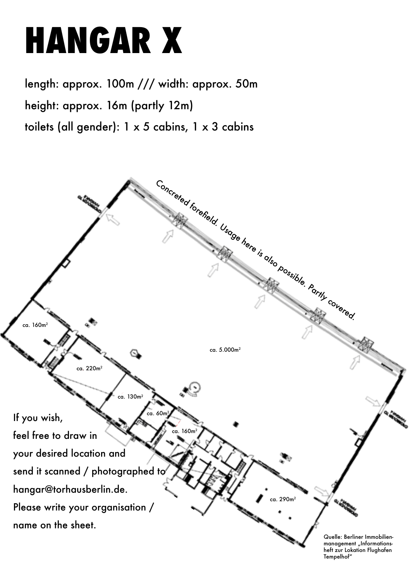## **HANGAR X**

length: approx. 100m /// width: approx. 50m height: approx. 16m (partly 12m) toilets (all gender): 1 x 5 cabins, 1 x 3 cabins



heft zur Lokation Flughafen Tempelhof"